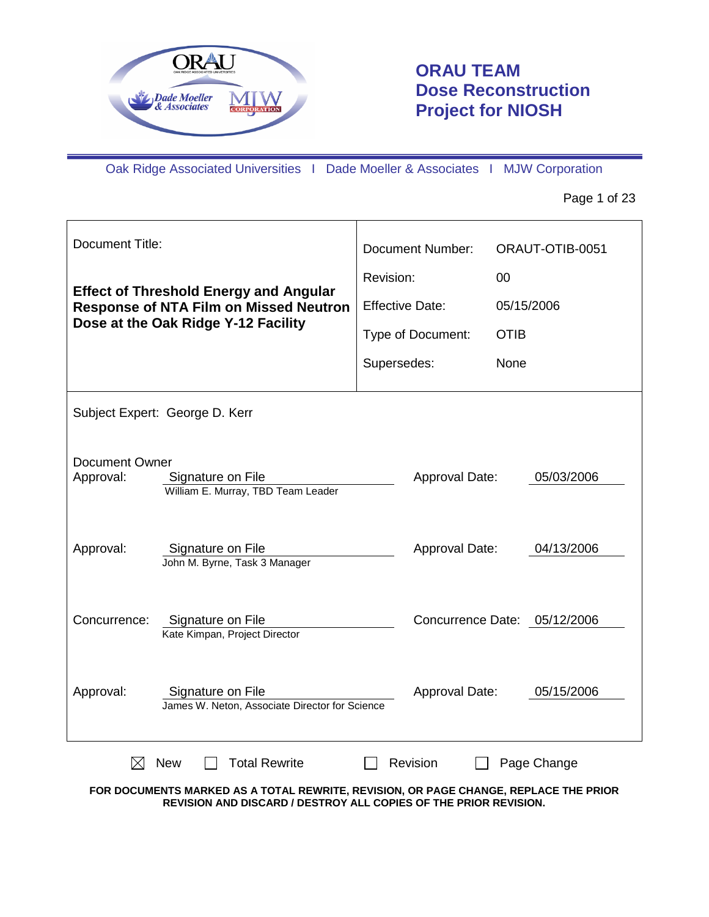

# **ORAU TEAM Dose Reconstruction Project for NIOSH**

Oak Ridge Associated Universities I Dade Moeller & Associates I MJW Corporation

Page 1 of 23

| Document Title:                                                                                    |                                                                                                                                                          | <b>Document Number:</b> | ORAUT-OTIB-0051              |  |
|----------------------------------------------------------------------------------------------------|----------------------------------------------------------------------------------------------------------------------------------------------------------|-------------------------|------------------------------|--|
| <b>Effect of Threshold Energy and Angular</b>                                                      |                                                                                                                                                          | Revision:               | 00                           |  |
|                                                                                                    | <b>Response of NTA Film on Missed Neutron</b>                                                                                                            | <b>Effective Date:</b>  | 05/15/2006                   |  |
|                                                                                                    | Dose at the Oak Ridge Y-12 Facility                                                                                                                      | Type of Document:       | <b>OTIB</b>                  |  |
|                                                                                                    |                                                                                                                                                          | Supersedes:             | None                         |  |
|                                                                                                    | Subject Expert: George D. Kerr                                                                                                                           |                         |                              |  |
| <b>Document Owner</b>                                                                              |                                                                                                                                                          |                         |                              |  |
| Approval:                                                                                          | Signature on File<br>William E. Murray, TBD Team Leader                                                                                                  | Approval Date:          | 05/03/2006                   |  |
| Approval:                                                                                          | Signature on File<br>Approval Date:<br>John M. Byrne, Task 3 Manager                                                                                     |                         | 04/13/2006                   |  |
| Concurrence:                                                                                       | Signature on File<br>Kate Kimpan, Project Director                                                                                                       |                         | Concurrence Date: 05/12/2006 |  |
| Approval:<br>Signature on File<br>Approval Date:<br>James W. Neton, Associate Director for Science |                                                                                                                                                          | 05/15/2006              |                              |  |
| M                                                                                                  | <b>Total Rewrite</b><br><b>New</b>                                                                                                                       | Revision                | Page Change                  |  |
|                                                                                                    | FOR DOCUMENTS MARKED AS A TOTAL REWRITE, REVISION, OR PAGE CHANGE, REPLACE THE PRIOR<br>REVISION AND DISCARD / DESTROY ALL COPIES OF THE PRIOR REVISION. |                         |                              |  |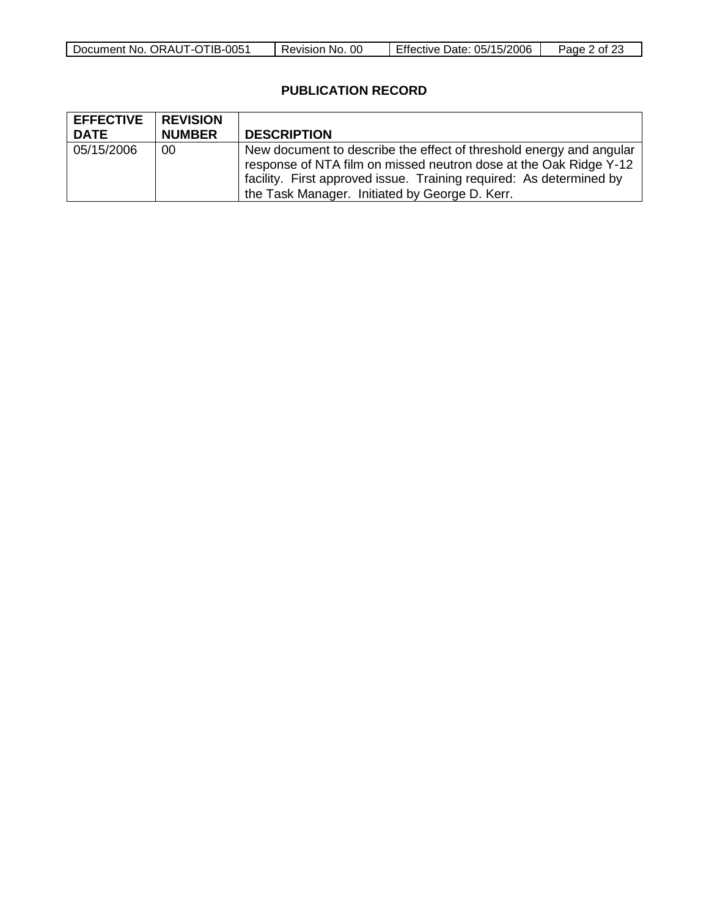| Document No. ORAUT-OTIB-0051 | Revision No. 00 | Effective Date: 05/15/2006 | Page<br>of 23 |
|------------------------------|-----------------|----------------------------|---------------|

## **PUBLICATION RECORD**

| <b>EFFECTIVE</b><br><b>DATE</b> | <b>REVISION</b><br><b>NUMBER</b> | <b>DESCRIPTION</b>                                                                                                                                                                                                                                                |
|---------------------------------|----------------------------------|-------------------------------------------------------------------------------------------------------------------------------------------------------------------------------------------------------------------------------------------------------------------|
| 05/15/2006                      | 00                               | New document to describe the effect of threshold energy and angular<br>response of NTA film on missed neutron dose at the Oak Ridge Y-12<br>facility. First approved issue. Training required: As determined by<br>the Task Manager. Initiated by George D. Kerr. |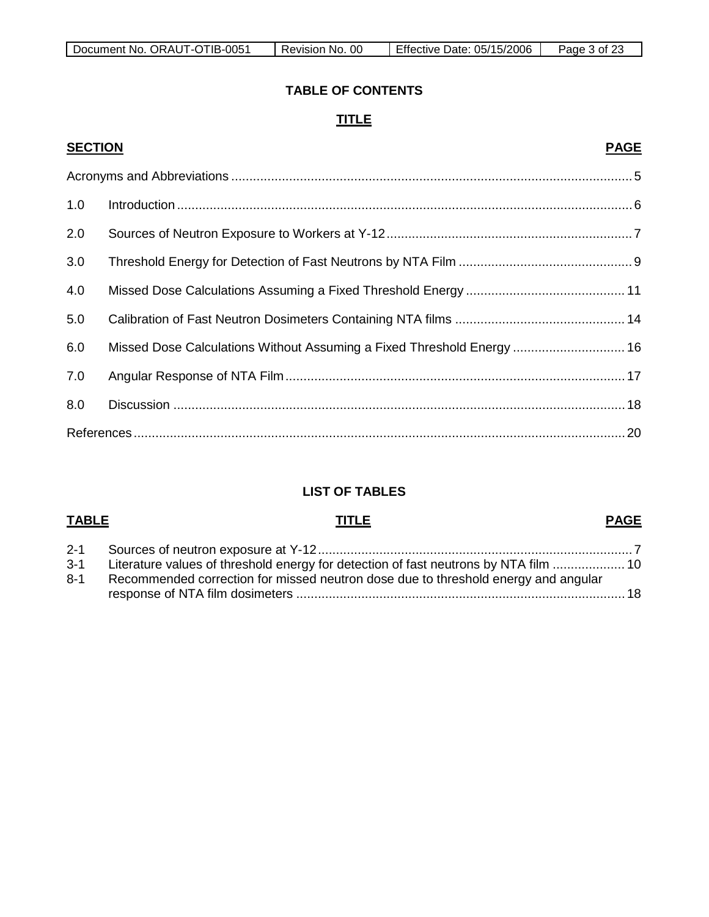## **TABLE OF CONTENTS**

## **TITLE**

| <b>SECTION</b> |                                                                        | <b>PAGE</b> |
|----------------|------------------------------------------------------------------------|-------------|
|                |                                                                        |             |
| 1.0            |                                                                        |             |
| 2.0            |                                                                        |             |
| 3.0            |                                                                        |             |
| 4.0            |                                                                        |             |
| 5.0            |                                                                        |             |
| 6.0            | Missed Dose Calculations Without Assuming a Fixed Threshold Energy  16 |             |
| 7.0            |                                                                        |             |
| 8.0            |                                                                        |             |
|                |                                                                        |             |

## **LIST OF TABLES**

## **TABLE TITLE PAGE**

|         | 3-1 Literature values of threshold energy for detection of fast neutrons by NTA film  10 |  |
|---------|------------------------------------------------------------------------------------------|--|
| $8 - 1$ | Recommended correction for missed neutron dose due to threshold energy and angular       |  |
|         |                                                                                          |  |

## **PAGE**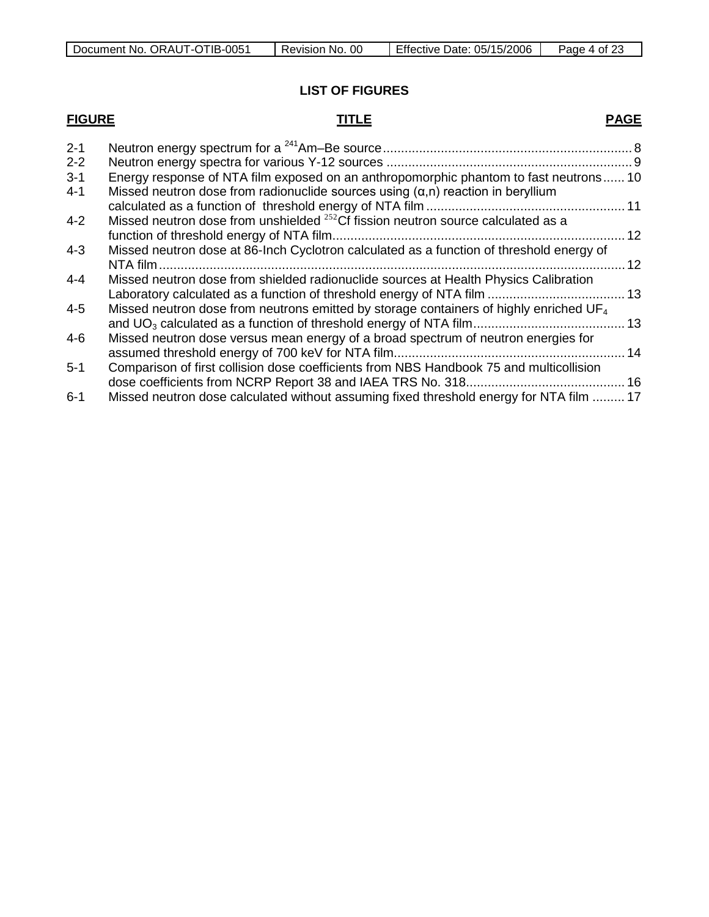| Document No. ORAUT-OTIB-0051 | Revision No. 00 | Effective Date: 05/15/2006 | Page 4 of 23 |
|------------------------------|-----------------|----------------------------|--------------|
|------------------------------|-----------------|----------------------------|--------------|

## **LIST OF FIGURES**

## **FIGURE TITLE**

## **PAGE**

| $2 - 1$ |                                                                                              |    |
|---------|----------------------------------------------------------------------------------------------|----|
| $2 - 2$ |                                                                                              |    |
| $3 - 1$ | Energy response of NTA film exposed on an anthropomorphic phantom to fast neutrons 10        |    |
| $4 - 1$ | Missed neutron dose from radionuclide sources using $(\alpha, n)$ reaction in beryllium      |    |
| $4 - 2$ | Missed neutron dose from unshielded <sup>252</sup> Cf fission neutron source calculated as a |    |
| $4 - 3$ | Missed neutron dose at 86-lnch Cyclotron calculated as a function of threshold energy of     | 12 |
| $4 - 4$ | Missed neutron dose from shielded radionuclide sources at Health Physics Calibration         |    |
| $4 - 5$ | Missed neutron dose from neutrons emitted by storage containers of highly enriched $UF_4$    |    |
| $4 - 6$ | Missed neutron dose versus mean energy of a broad spectrum of neutron energies for           |    |
| $5 - 1$ | Comparison of first collision dose coefficients from NBS Handbook 75 and multicollision      |    |
| $6 - 1$ | Missed neutron dose calculated without assuming fixed threshold energy for NTA film  17      |    |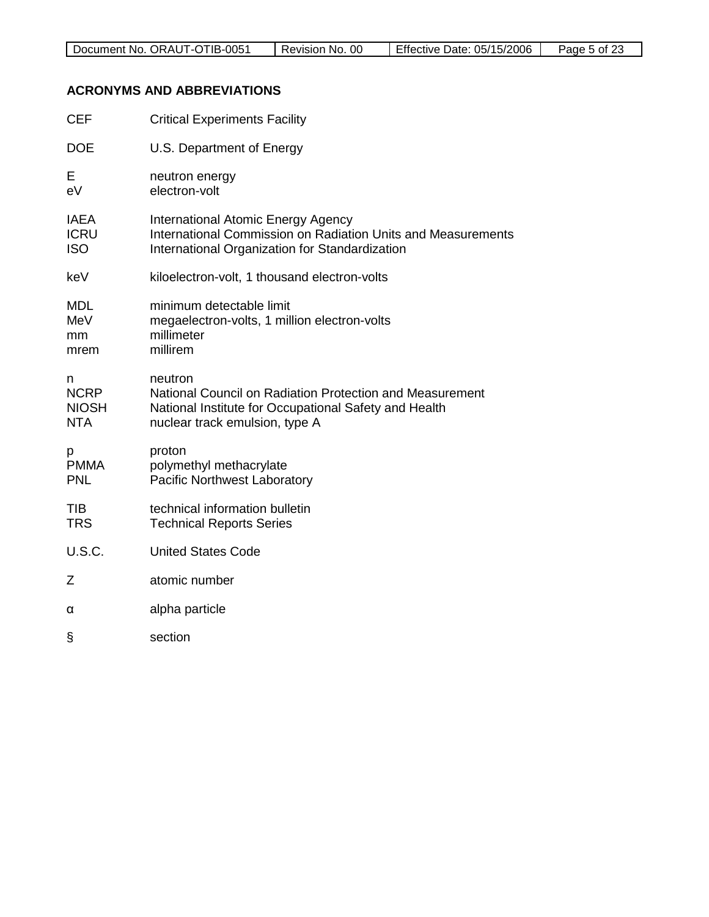## **ACRONYMS AND ABBREVIATIONS**

| <b>CEF</b>                                     | <b>Critical Experiments Facility</b>                                                                                                                           |
|------------------------------------------------|----------------------------------------------------------------------------------------------------------------------------------------------------------------|
| <b>DOE</b>                                     | U.S. Department of Energy                                                                                                                                      |
| E<br>eV                                        | neutron energy<br>electron-volt                                                                                                                                |
| <b>IAEA</b><br><b>ICRU</b><br><b>ISO</b>       | International Atomic Energy Agency<br>International Commission on Radiation Units and Measurements<br>International Organization for Standardization           |
| keV                                            | kiloelectron-volt, 1 thousand electron-volts                                                                                                                   |
| <b>MDL</b><br>MeV<br>mm<br>mrem                | minimum detectable limit<br>megaelectron-volts, 1 million electron-volts<br>millimeter<br>millirem                                                             |
| n<br><b>NCRP</b><br><b>NIOSH</b><br><b>NTA</b> | neutron<br>National Council on Radiation Protection and Measurement<br>National Institute for Occupational Safety and Health<br>nuclear track emulsion, type A |
| р<br><b>PMMA</b><br><b>PNL</b>                 | proton<br>polymethyl methacrylate<br><b>Pacific Northwest Laboratory</b>                                                                                       |
| <b>TIB</b><br><b>TRS</b>                       | technical information bulletin<br><b>Technical Reports Series</b>                                                                                              |
| <b>U.S.C.</b>                                  | <b>United States Code</b>                                                                                                                                      |
| Ζ                                              | atomic number                                                                                                                                                  |
| α                                              | alpha particle                                                                                                                                                 |
| §                                              | section                                                                                                                                                        |
|                                                |                                                                                                                                                                |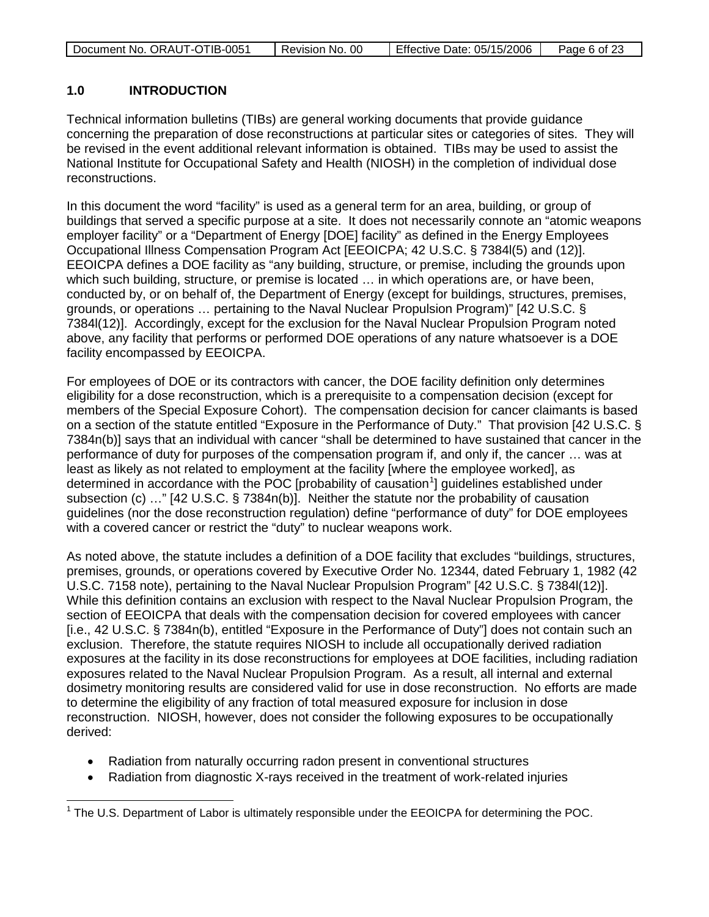| Document No. ORAUT-OTIB-0051 | . 00<br>Revision No. | Effective Date: 05/15/2006 | Page 6 of 23 |
|------------------------------|----------------------|----------------------------|--------------|
|------------------------------|----------------------|----------------------------|--------------|

## **1.0 INTRODUCTION**

Technical information bulletins (TIBs) are general working documents that provide guidance concerning the preparation of dose reconstructions at particular sites or categories of sites. They will be revised in the event additional relevant information is obtained. TIBs may be used to assist the National Institute for Occupational Safety and Health (NIOSH) in the completion of individual dose reconstructions.

In this document the word "facility" is used as a general term for an area, building, or group of buildings that served a specific purpose at a site. It does not necessarily connote an "atomic weapons employer facility" or a "Department of Energy [DOE] facility" as defined in the Energy Employees Occupational Illness Compensation Program Act [EEOICPA; 42 U.S.C. § 7384l(5) and (12)]. EEOICPA defines a DOE facility as "any building, structure, or premise, including the grounds upon which such building, structure, or premise is located … in which operations are, or have been, conducted by, or on behalf of, the Department of Energy (except for buildings, structures, premises, grounds, or operations … pertaining to the Naval Nuclear Propulsion Program)" [42 U.S.C. § 7384l(12)]. Accordingly, except for the exclusion for the Naval Nuclear Propulsion Program noted above, any facility that performs or performed DOE operations of any nature whatsoever is a DOE facility encompassed by EEOICPA.

For employees of DOE or its contractors with cancer, the DOE facility definition only determines eligibility for a dose reconstruction, which is a prerequisite to a compensation decision (except for members of the Special Exposure Cohort). The compensation decision for cancer claimants is based on a section of the statute entitled "Exposure in the Performance of Duty." That provision [42 U.S.C. § 7384n(b)] says that an individual with cancer "shall be determined to have sustained that cancer in the performance of duty for purposes of the compensation program if, and only if, the cancer … was at least as likely as not related to employment at the facility [where the employee worked], as determined in accordance with the POC [probability of causation<sup>[1](#page-5-0)</sup>] guidelines established under subsection (c) …" [42 U.S.C. § 7384n(b)]. Neither the statute nor the probability of causation guidelines (nor the dose reconstruction regulation) define "performance of duty" for DOE employees with a covered cancer or restrict the "duty" to nuclear weapons work.

As noted above, the statute includes a definition of a DOE facility that excludes "buildings, structures, premises, grounds, or operations covered by Executive Order No. 12344, dated February 1, 1982 (42 U.S.C. 7158 note), pertaining to the Naval Nuclear Propulsion Program" [42 U.S.C. § 7384l(12)]. While this definition contains an exclusion with respect to the Naval Nuclear Propulsion Program, the section of EEOICPA that deals with the compensation decision for covered employees with cancer [i.e., 42 U.S.C. § 7384n(b), entitled "Exposure in the Performance of Duty"] does not contain such an exclusion. Therefore, the statute requires NIOSH to include all occupationally derived radiation exposures at the facility in its dose reconstructions for employees at DOE facilities, including radiation exposures related to the Naval Nuclear Propulsion Program. As a result, all internal and external dosimetry monitoring results are considered valid for use in dose reconstruction. No efforts are made to determine the eligibility of any fraction of total measured exposure for inclusion in dose reconstruction. NIOSH, however, does not consider the following exposures to be occupationally derived:

- Radiation from naturally occurring radon present in conventional structures
- Radiation from diagnostic X-rays received in the treatment of work-related injuries

<span id="page-5-0"></span> $1$  The U.S. Department of Labor is ultimately responsible under the EEOICPA for determining the POC.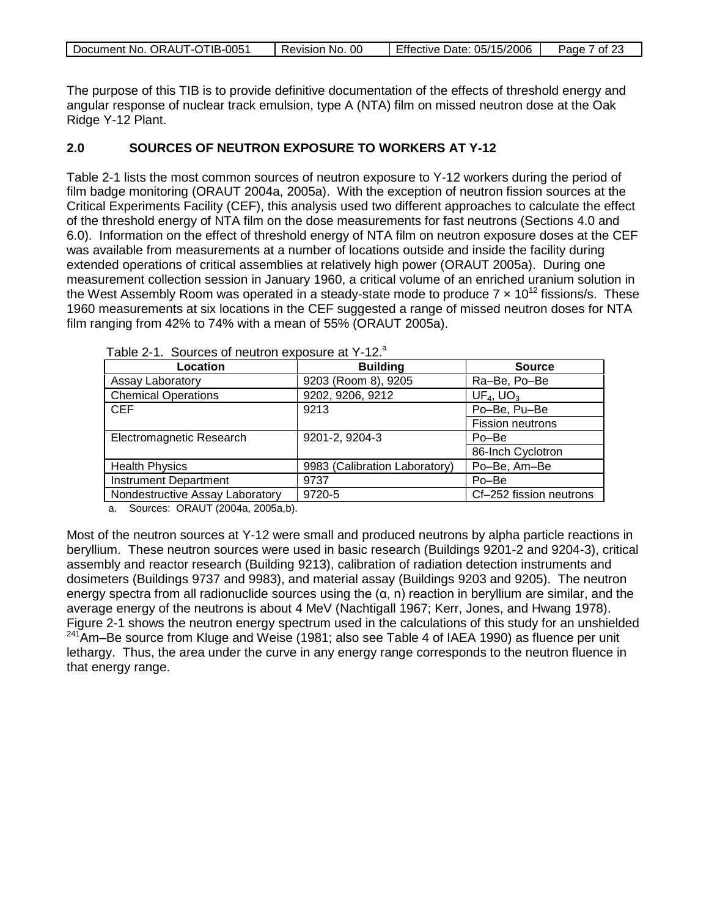| Document No. ORAUT-OTIB-0051 | Revision No. 00 | Effective Date: 05/15/2006 | Page 7 of 23 |
|------------------------------|-----------------|----------------------------|--------------|
|                              |                 |                            |              |

The purpose of this TIB is to provide definitive documentation of the effects of threshold energy and angular response of nuclear track emulsion, type A (NTA) film on missed neutron dose at the Oak Ridge Y-12 Plant.

### **2.0 SOURCES OF NEUTRON EXPOSURE TO WORKERS AT Y-12**

Table 2-1 lists the most common sources of neutron exposure to Y-12 workers during the period of film badge monitoring (ORAUT 2004a, 2005a). With the exception of neutron fission sources at the Critical Experiments Facility (CEF), this analysis used two different approaches to calculate the effect of the threshold energy of NTA film on the dose measurements for fast neutrons (Sections 4.0 and 6.0). Information on the effect of threshold energy of NTA film on neutron exposure doses at the CEF was available from measurements at a number of locations outside and inside the facility during extended operations of critical assemblies at relatively high power (ORAUT 2005a). During one measurement collection session in January 1960, a critical volume of an enriched uranium solution in the West Assembly Room was operated in a steady-state mode to produce  $7 \times 10^{12}$  fissions/s. These 1960 measurements at six locations in the CEF suggested a range of missed neutron doses for NTA film ranging from 42% to 74% with a mean of 55% (ORAUT 2005a).

| Location                        | <b>Building</b>               | <b>Source</b>           |  |  |  |
|---------------------------------|-------------------------------|-------------------------|--|--|--|
| Assay Laboratory                | 9203 (Room 8), 9205           | Ra-Be, Po-Be            |  |  |  |
| <b>Chemical Operations</b>      | 9202, 9206, 9212              | $UF_4$ , $UO_3$         |  |  |  |
| <b>CEF</b>                      | 9213                          | Po-Be, Pu-Be            |  |  |  |
|                                 |                               | <b>Fission neutrons</b> |  |  |  |
| Electromagnetic Research        | 9201-2, 9204-3                | Po-Be                   |  |  |  |
|                                 |                               | 86-Inch Cyclotron       |  |  |  |
| <b>Health Physics</b>           | 9983 (Calibration Laboratory) | Po-Be, Am-Be            |  |  |  |
| <b>Instrument Department</b>    | 9737                          | Po-Be                   |  |  |  |
| Nondestructive Assay Laboratory | 9720-5                        | Cf-252 fission neutrons |  |  |  |

Table 2-1. Sources of neutron exposure at Y-12.<sup>a</sup>

a. Sources: ORAUT (2004a, 2005a,b).

Most of the neutron sources at Y-12 were small and produced neutrons by alpha particle reactions in beryllium. These neutron sources were used in basic research (Buildings 9201-2 and 9204-3), critical assembly and reactor research (Building 9213), calibration of radiation detection instruments and dosimeters (Buildings 9737 and 9983), and material assay (Buildings 9203 and 9205). The neutron energy spectra from all radionuclide sources using the  $(\alpha, n)$  reaction in beryllium are similar, and the average energy of the neutrons is about 4 MeV (Nachtigall 1967; Kerr, Jones, and Hwang 1978). Figure 2-1 shows the neutron energy spectrum used in the calculations of this study for an unshielded  $241$ Am–Be source from Kluge and Weise (1981; also see Table 4 of IAEA 1990) as fluence per unit lethargy. Thus, the area under the curve in any energy range corresponds to the neutron fluence in that energy range.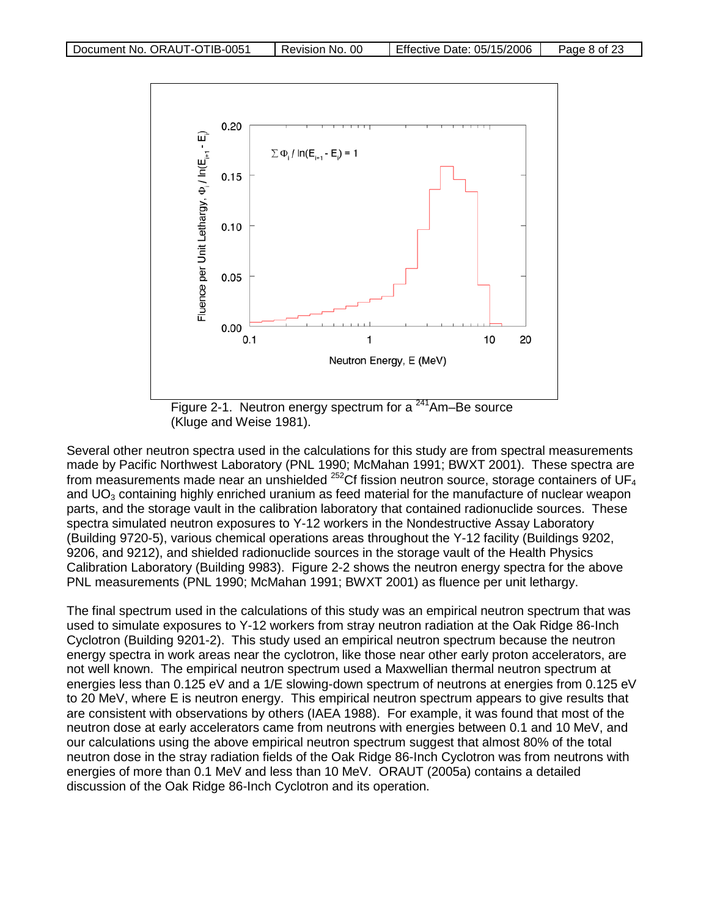

(Kluge and Weise 1981).

Several other neutron spectra used in the calculations for this study are from spectral measurements made by Pacific Northwest Laboratory (PNL 1990; McMahan 1991; BWXT 2001). These spectra are from measurements made near an unshielded  $^{252}$ Cf fission neutron source, storage containers of UF<sub>4</sub> and  $UO<sub>3</sub>$  containing highly enriched uranium as feed material for the manufacture of nuclear weapon parts, and the storage vault in the calibration laboratory that contained radionuclide sources. These spectra simulated neutron exposures to Y-12 workers in the Nondestructive Assay Laboratory (Building 9720-5), various chemical operations areas throughout the Y-12 facility (Buildings 9202, 9206, and 9212), and shielded radionuclide sources in the storage vault of the Health Physics Calibration Laboratory (Building 9983). Figure 2-2 shows the neutron energy spectra for the above PNL measurements (PNL 1990; McMahan 1991; BWXT 2001) as fluence per unit lethargy.

The final spectrum used in the calculations of this study was an empirical neutron spectrum that was used to simulate exposures to Y-12 workers from stray neutron radiation at the Oak Ridge 86-Inch Cyclotron (Building 9201-2). This study used an empirical neutron spectrum because the neutron energy spectra in work areas near the cyclotron, like those near other early proton accelerators, are not well known. The empirical neutron spectrum used a Maxwellian thermal neutron spectrum at energies less than 0.125 eV and a 1/E slowing-down spectrum of neutrons at energies from 0.125 eV to 20 MeV, where E is neutron energy. This empirical neutron spectrum appears to give results that are consistent with observations by others (IAEA 1988). For example, it was found that most of the neutron dose at early accelerators came from neutrons with energies between 0.1 and 10 MeV, and our calculations using the above empirical neutron spectrum suggest that almost 80% of the total neutron dose in the stray radiation fields of the Oak Ridge 86-Inch Cyclotron was from neutrons with energies of more than 0.1 MeV and less than 10 MeV. ORAUT (2005a) contains a detailed discussion of the Oak Ridge 86-Inch Cyclotron and its operation.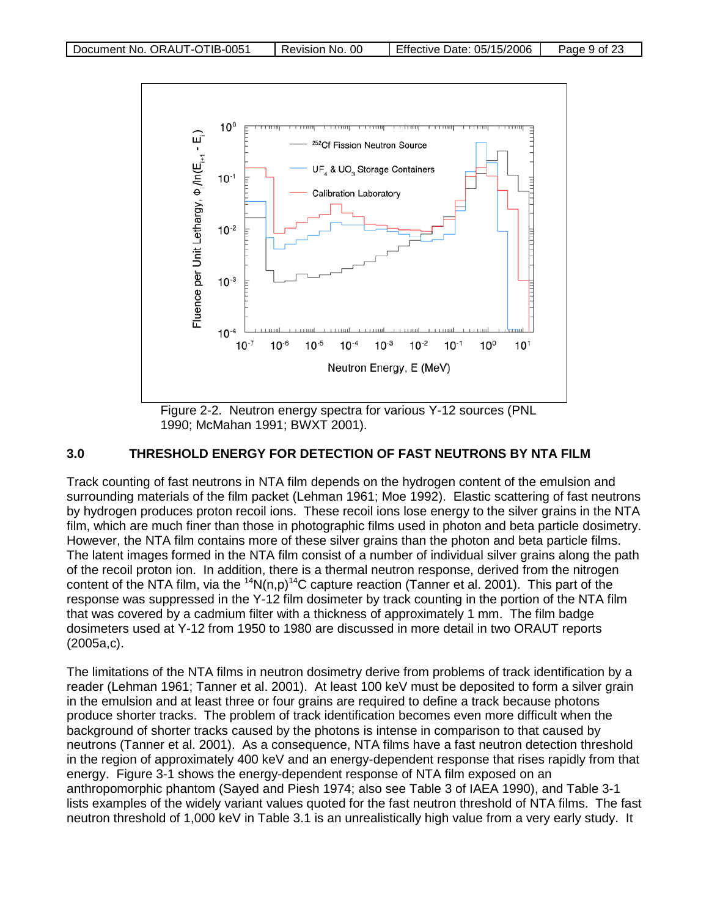

Figure 2-2. Neutron energy spectra for various Y-12 sources (PNL 1990; McMahan 1991; BWXT 2001).

## **3.0 THRESHOLD ENERGY FOR DETECTION OF FAST NEUTRONS BY NTA FILM**

Track counting of fast neutrons in NTA film depends on the hydrogen content of the emulsion and surrounding materials of the film packet (Lehman 1961; Moe 1992). Elastic scattering of fast neutrons by hydrogen produces proton recoil ions. These recoil ions lose energy to the silver grains in the NTA film, which are much finer than those in photographic films used in photon and beta particle dosimetry. However, the NTA film contains more of these silver grains than the photon and beta particle films. The latent images formed in the NTA film consist of a number of individual silver grains along the path of the recoil proton ion. In addition, there is a thermal neutron response, derived from the nitrogen content of the NTA film, via the  $14N(n,p)$ <sup>14</sup>C capture reaction (Tanner et al. 2001). This part of the response was suppressed in the Y-12 film dosimeter by track counting in the portion of the NTA film that was covered by a cadmium filter with a thickness of approximately 1 mm. The film badge dosimeters used at Y-12 from 1950 to 1980 are discussed in more detail in two ORAUT reports (2005a,c).

The limitations of the NTA films in neutron dosimetry derive from problems of track identification by a reader (Lehman 1961; Tanner et al. 2001). At least 100 keV must be deposited to form a silver grain in the emulsion and at least three or four grains are required to define a track because photons produce shorter tracks. The problem of track identification becomes even more difficult when the background of shorter tracks caused by the photons is intense in comparison to that caused by neutrons (Tanner et al. 2001). As a consequence, NTA films have a fast neutron detection threshold in the region of approximately 400 keV and an energy-dependent response that rises rapidly from that energy. Figure 3-1 shows the energy-dependent response of NTA film exposed on an anthropomorphic phantom (Sayed and Piesh 1974; also see Table 3 of IAEA 1990), and Table 3-1 lists examples of the widely variant values quoted for the fast neutron threshold of NTA films. The fast neutron threshold of 1,000 keV in Table 3.1 is an unrealistically high value from a very early study. It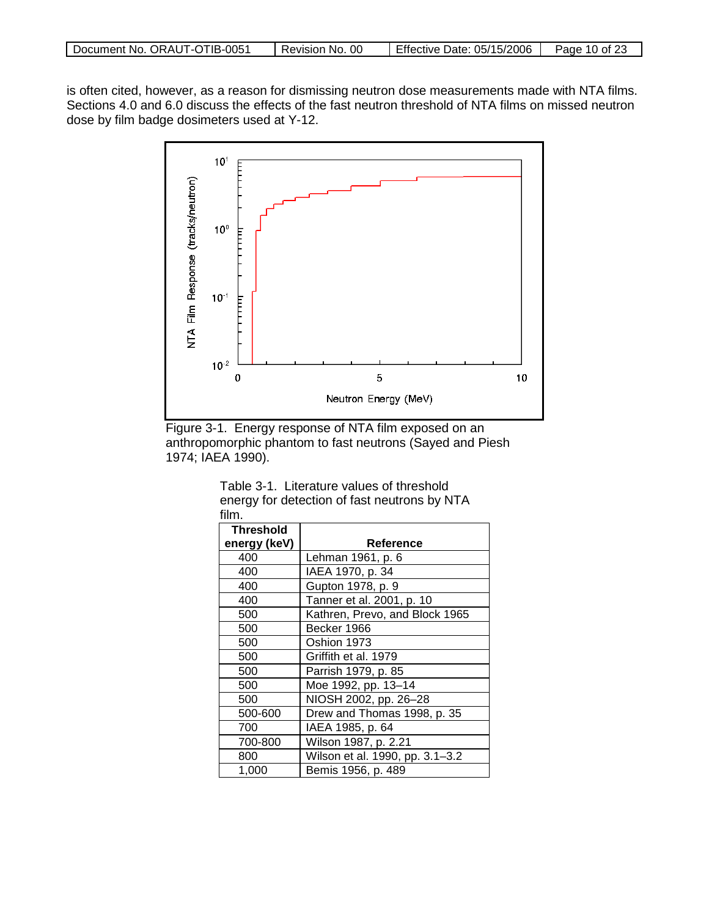| Document No. ORAUT-OTIB-0051 | 00<br>No.<br>Revision | Effective<br>Date: 05/15/2006 | Page<br>10 of |
|------------------------------|-----------------------|-------------------------------|---------------|

is often cited, however, as a reason for dismissing neutron dose measurements made with NTA films. Sections 4.0 and 6.0 discuss the effects of the fast neutron threshold of NTA films on missed neutron dose by film badge dosimeters used at Y-12.



Figure 3-1. Energy response of NTA film exposed on an anthropomorphic phantom to fast neutrons (Sayed and Piesh 1974; IAEA 1990).

| Table 3-1. Literature values of threshold    |
|----------------------------------------------|
| energy for detection of fast neutrons by NTA |
| film.                                        |

| <b>Threshold</b> |                                 |
|------------------|---------------------------------|
| energy (keV)     | Reference                       |
| 400              | Lehman 1961, p. 6               |
| 400              | IAEA 1970, p. 34                |
| 400              | Gupton 1978, p. 9               |
| 400              | Tanner et al. 2001, p. 10       |
| 500              | Kathren, Prevo, and Block 1965  |
| 500              | Becker 1966                     |
| 500              | Oshion 1973                     |
| 500              | Griffith et al. 1979            |
| 500              | Parrish 1979, p. 85             |
| 500              | Moe 1992, pp. 13-14             |
| 500              | NIOSH 2002, pp. 26-28           |
| 500-600          | Drew and Thomas 1998, p. 35     |
| 700              | IAEA 1985, p. 64                |
| 700-800          | Wilson 1987, p. 2.21            |
| 800              | Wilson et al. 1990, pp. 3.1-3.2 |
| 1,000            | Bemis 1956, p. 489              |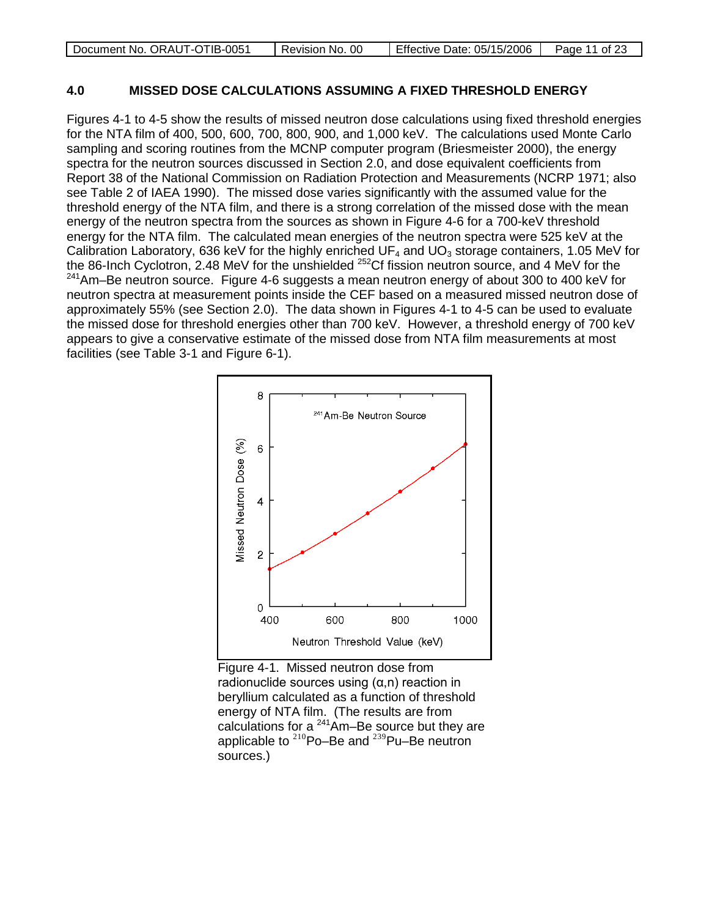| Document No. ORAUT-OTIB-0051 | Revision No. 00 | Effective Date: 05/15/2006 | Page 11 of 23 |
|------------------------------|-----------------|----------------------------|---------------|
|                              |                 |                            |               |

#### **4.0 MISSED DOSE CALCULATIONS ASSUMING A FIXED THRESHOLD ENERGY**

Figures 4-1 to 4-5 show the results of missed neutron dose calculations using fixed threshold energies for the NTA film of 400, 500, 600, 700, 800, 900, and 1,000 keV. The calculations used Monte Carlo sampling and scoring routines from the MCNP computer program (Briesmeister 2000), the energy spectra for the neutron sources discussed in Section 2.0, and dose equivalent coefficients from Report 38 of the National Commission on Radiation Protection and Measurements (NCRP 1971; also see Table 2 of IAEA 1990). The missed dose varies significantly with the assumed value for the threshold energy of the NTA film, and there is a strong correlation of the missed dose with the mean energy of the neutron spectra from the sources as shown in Figure 4-6 for a 700-keV threshold energy for the NTA film. The calculated mean energies of the neutron spectra were 525 keV at the Calibration Laboratory, 636 keV for the highly enriched UF<sub>4</sub> and UO<sub>3</sub> storage containers, 1.05 MeV for the 86-Inch Cyclotron, 2.48 MeV for the unshielded <sup>252</sup>Cf fission neutron source, and 4 MeV for the  $241$ Am–Be neutron source. Figure 4-6 suggests a mean neutron energy of about 300 to 400 keV for neutron spectra at measurement points inside the CEF based on a measured missed neutron dose of approximately 55% (see Section 2.0). The data shown in Figures 4-1 to 4-5 can be used to evaluate the missed dose for threshold energies other than 700 keV. However, a threshold energy of 700 keV appears to give a conservative estimate of the missed dose from NTA film measurements at most facilities (see Table 3-1 and Figure 6-1).



Figure 4-1. Missed neutron dose from radionuclide sources using  $(α, n)$  reaction in beryllium calculated as a function of threshold energy of NTA film. (The results are from calculations for a  $^{241}$ Am–Be source but they are applicable to  $210P_0$ –Be and  $239P_0$ –Be neutron sources.)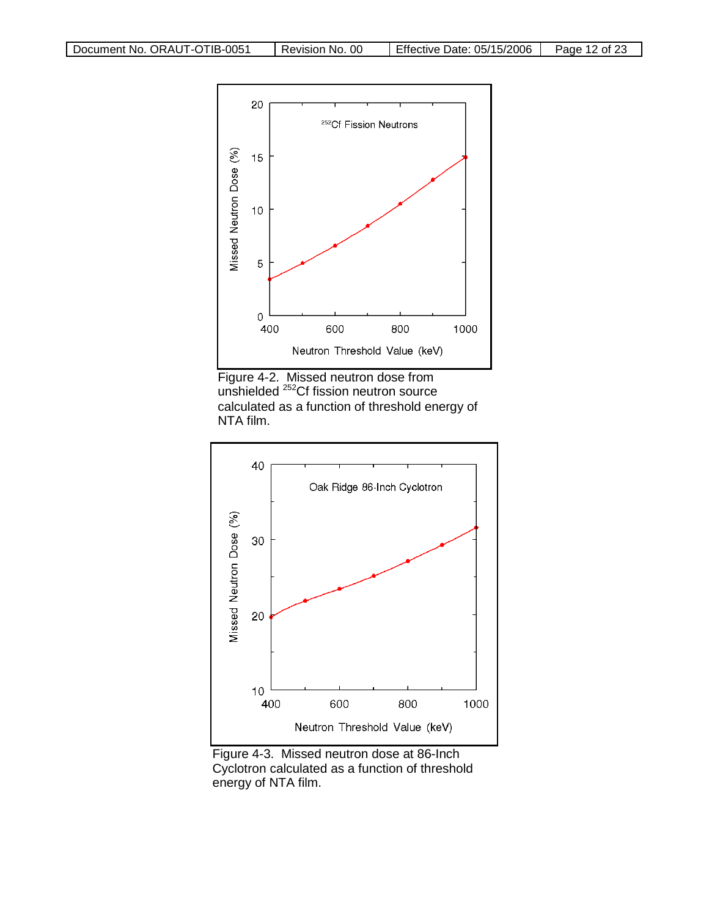





Figure 4-3. Missed neutron dose at 86-Inch Cyclotron calculated as a function of threshold energy of NTA film.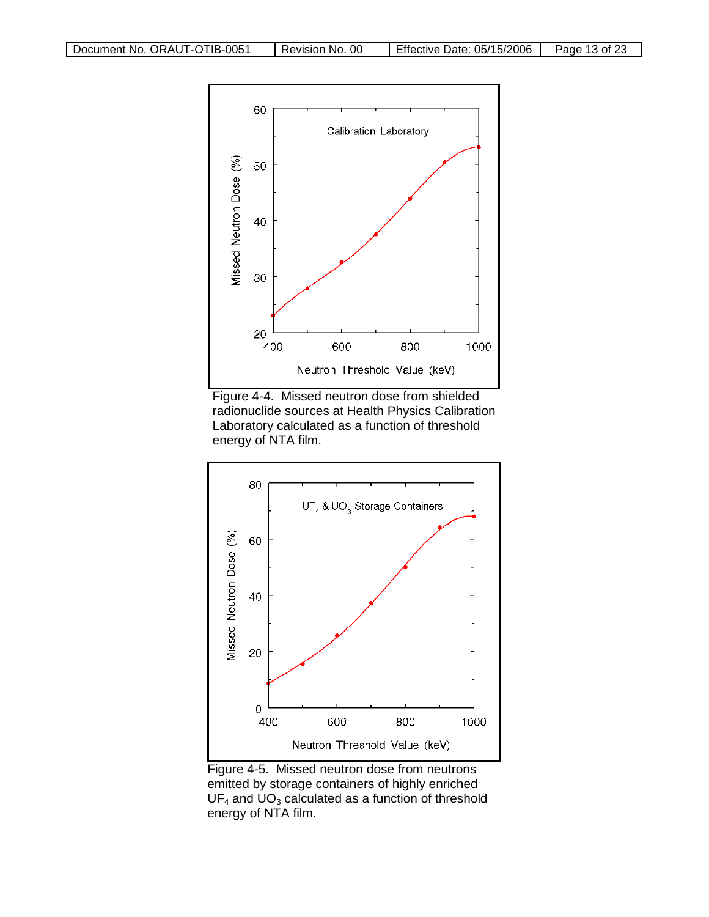





Figure 4-5. Missed neutron dose from neutrons emitted by storage containers of highly enriched  $UF<sub>4</sub>$  and  $UO<sub>3</sub>$  calculated as a function of threshold energy of NTA film.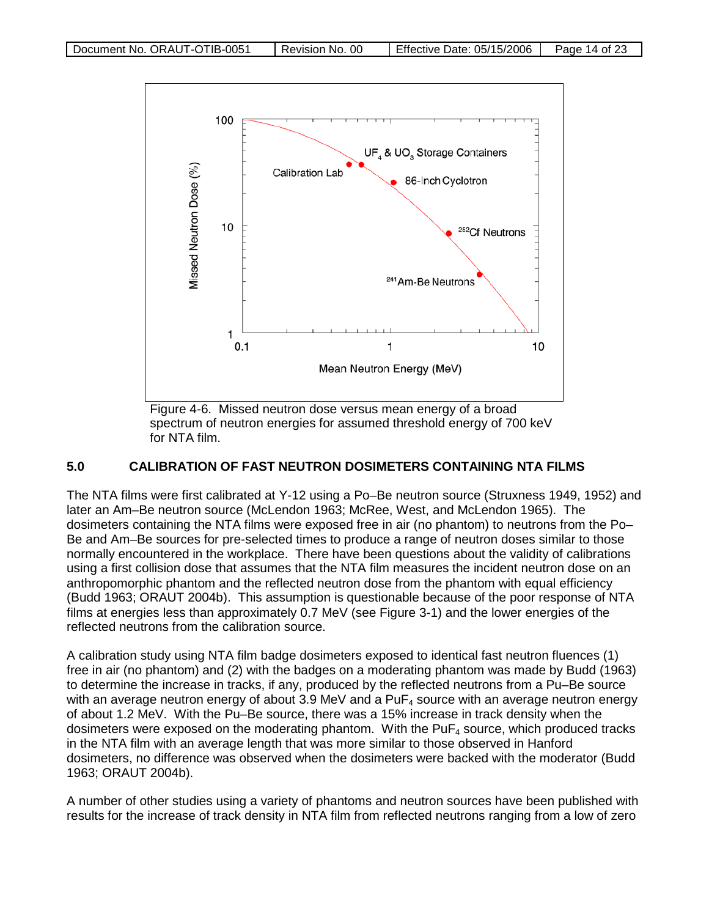

Figure 4-6. Missed neutron dose versus mean energy of a broad spectrum of neutron energies for assumed threshold energy of 700 keV for NTA film.

### **5.0 CALIBRATION OF FAST NEUTRON DOSIMETERS CONTAINING NTA FILMS**

The NTA films were first calibrated at Y-12 using a Po–Be neutron source (Struxness 1949, 1952) and later an Am–Be neutron source (McLendon 1963; McRee, West, and McLendon 1965). The dosimeters containing the NTA films were exposed free in air (no phantom) to neutrons from the Po– Be and Am–Be sources for pre-selected times to produce a range of neutron doses similar to those normally encountered in the workplace. There have been questions about the validity of calibrations using a first collision dose that assumes that the NTA film measures the incident neutron dose on an anthropomorphic phantom and the reflected neutron dose from the phantom with equal efficiency (Budd 1963; ORAUT 2004b). This assumption is questionable because of the poor response of NTA films at energies less than approximately 0.7 MeV (see Figure 3-1) and the lower energies of the reflected neutrons from the calibration source.

A calibration study using NTA film badge dosimeters exposed to identical fast neutron fluences (1) free in air (no phantom) and (2) with the badges on a moderating phantom was made by Budd (1963) to determine the increase in tracks, if any, produced by the reflected neutrons from a Pu–Be source with an average neutron energy of about  $3.9 \text{ MeV}$  and a  $\text{PuF}_4$  source with an average neutron energy of about 1.2 MeV. With the Pu–Be source, there was a 15% increase in track density when the dosimeters were exposed on the moderating phantom. With the  $PuF<sub>4</sub>$  source, which produced tracks in the NTA film with an average length that was more similar to those observed in Hanford dosimeters, no difference was observed when the dosimeters were backed with the moderator (Budd 1963; ORAUT 2004b).

A number of other studies using a variety of phantoms and neutron sources have been published with results for the increase of track density in NTA film from reflected neutrons ranging from a low of zero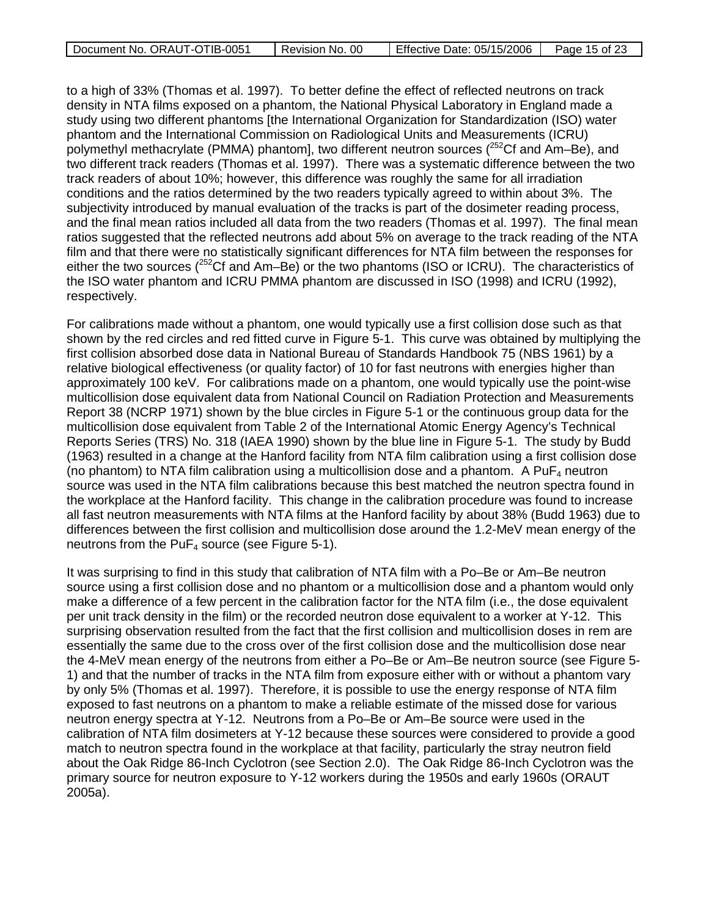| Document No. ORAUT-OTIB-0051 | -00<br>Revision No. | Effective Date: 05/15/2006 | Page 15 of 23 |
|------------------------------|---------------------|----------------------------|---------------|
|                              |                     |                            |               |

to a high of 33% (Thomas et al. 1997). To better define the effect of reflected neutrons on track density in NTA films exposed on a phantom, the National Physical Laboratory in England made a study using two different phantoms [the International Organization for Standardization (ISO) water phantom and the International Commission on Radiological Units and Measurements (ICRU) polymethyl methacrylate (PMMA) phantom], two different neutron sources  $(^{252}Cf$  and Am–Be), and two different track readers (Thomas et al. 1997). There was a systematic difference between the two track readers of about 10%; however, this difference was roughly the same for all irradiation conditions and the ratios determined by the two readers typically agreed to within about 3%. The subjectivity introduced by manual evaluation of the tracks is part of the dosimeter reading process, and the final mean ratios included all data from the two readers (Thomas et al. 1997). The final mean ratios suggested that the reflected neutrons add about 5% on average to the track reading of the NTA film and that there were no statistically significant differences for NTA film between the responses for either the two sources (<sup>252</sup>Cf and Am–Be) or the two phantoms (ISO or ICRU). The characteristics of the ISO water phantom and ICRU PMMA phantom are discussed in ISO (1998) and ICRU (1992), respectively.

For calibrations made without a phantom, one would typically use a first collision dose such as that shown by the red circles and red fitted curve in Figure 5-1. This curve was obtained by multiplying the first collision absorbed dose data in National Bureau of Standards Handbook 75 (NBS 1961) by a relative biological effectiveness (or quality factor) of 10 for fast neutrons with energies higher than approximately 100 keV. For calibrations made on a phantom, one would typically use the point-wise multicollision dose equivalent data from National Council on Radiation Protection and Measurements Report 38 (NCRP 1971) shown by the blue circles in Figure 5-1 or the continuous group data for the multicollision dose equivalent from Table 2 of the International Atomic Energy Agency's Technical Reports Series (TRS) No. 318 (IAEA 1990) shown by the blue line in Figure 5-1. The study by Budd (1963) resulted in a change at the Hanford facility from NTA film calibration using a first collision dose (no phantom) to NTA film calibration using a multicollision dose and a phantom. A PuF<sub>4</sub> neutron source was used in the NTA film calibrations because this best matched the neutron spectra found in the workplace at the Hanford facility. This change in the calibration procedure was found to increase all fast neutron measurements with NTA films at the Hanford facility by about 38% (Budd 1963) due to differences between the first collision and multicollision dose around the 1.2-MeV mean energy of the neutrons from the  $PuF<sub>4</sub>$  source (see Figure 5-1).

It was surprising to find in this study that calibration of NTA film with a Po–Be or Am–Be neutron source using a first collision dose and no phantom or a multicollision dose and a phantom would only make a difference of a few percent in the calibration factor for the NTA film (i.e., the dose equivalent per unit track density in the film) or the recorded neutron dose equivalent to a worker at Y-12. This surprising observation resulted from the fact that the first collision and multicollision doses in rem are essentially the same due to the cross over of the first collision dose and the multicollision dose near the 4-MeV mean energy of the neutrons from either a Po–Be or Am–Be neutron source (see Figure 5- 1) and that the number of tracks in the NTA film from exposure either with or without a phantom vary by only 5% (Thomas et al. 1997). Therefore, it is possible to use the energy response of NTA film exposed to fast neutrons on a phantom to make a reliable estimate of the missed dose for various neutron energy spectra at Y-12. Neutrons from a Po–Be or Am–Be source were used in the calibration of NTA film dosimeters at Y-12 because these sources were considered to provide a good match to neutron spectra found in the workplace at that facility, particularly the stray neutron field about the Oak Ridge 86-Inch Cyclotron (see Section 2.0). The Oak Ridge 86-Inch Cyclotron was the primary source for neutron exposure to Y-12 workers during the 1950s and early 1960s (ORAUT 2005a).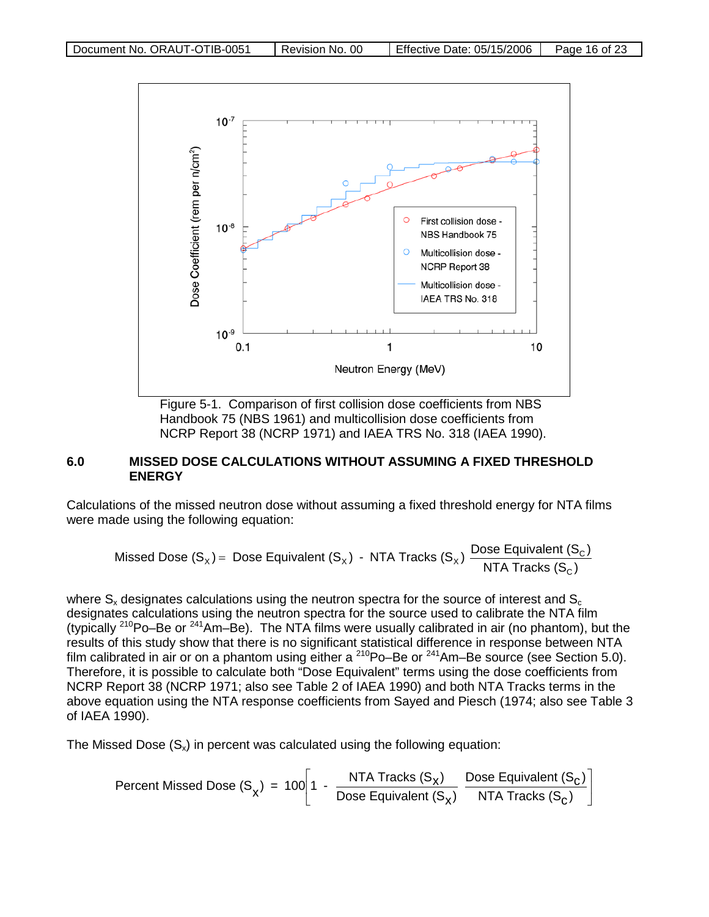

Figure 5-1. Comparison of first collision dose coefficients from NBS Handbook 75 (NBS 1961) and multicollision dose coefficients from NCRP Report 38 (NCRP 1971) and IAEA TRS No. 318 (IAEA 1990).

#### **6.0 MISSED DOSE CALCULATIONS WITHOUT ASSUMING A FIXED THRESHOLD ENERGY**

Calculations of the missed neutron dose without assuming a fixed threshold energy for NTA films were made using the following equation:

$$
\text{Missed Dose } (S_x) = \text{Dose Equivalent } (S_x) - \text{NTA Tracks } (S_x) \xrightarrow{\text{Dose Equivalent } (S_C)} \text{NTA Tracks } (S_C)
$$

where  $S_x$  designates calculations using the neutron spectra for the source of interest and  $S_c$ designates calculations using the neutron spectra for the source used to calibrate the NTA film (typically  $2^{10}$ Po–Be or  $2^{41}$ Am–Be). The NTA films were usually calibrated in air (no phantom), but the results of this study show that there is no significant statistical difference in response between NTA film calibrated in air or on a phantom using either a  $^{210}$ Po–Be or  $^{241}$ Am–Be source (see Section 5.0). Therefore, it is possible to calculate both "Dose Equivalent" terms using the dose coefficients from NCRP Report 38 (NCRP 1971; also see Table 2 of IAEA 1990) and both NTA Tracks terms in the above equation using the NTA response coefficients from Sayed and Piesch (1974; also see Table 3 of IAEA 1990).

The Missed Dose  $(S_x)$  in percent was calculated using the following equation:

Percent Missed Dose 
$$
(S_x)
$$
 = 100  $\left[1 - \frac{NTA \text{ Tracks } (S_x)}{\text{Dose Equivalent } (S_x)} \frac{\text{Dose Equivalent } (S_c)}{NTA \text{ Tracks } (S_c)}\right]$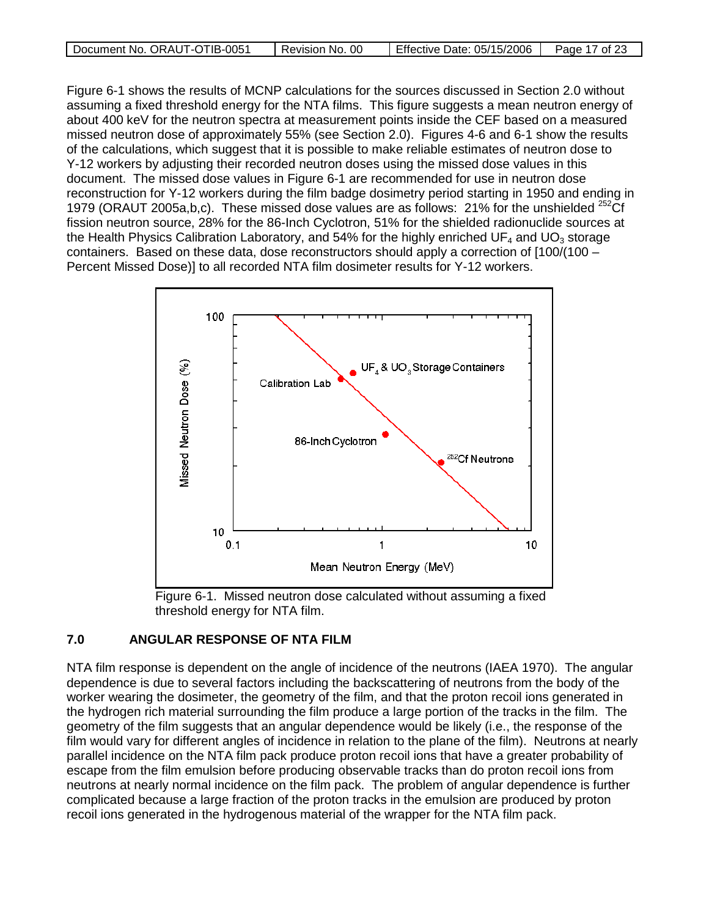| Document No. ORAUT-OTIB-0051 | Revision No. 00 | Effective Date: 05/15/2006 | Page 17 of 23 |
|------------------------------|-----------------|----------------------------|---------------|
|------------------------------|-----------------|----------------------------|---------------|

Figure 6-1 shows the results of MCNP calculations for the sources discussed in Section 2.0 without assuming a fixed threshold energy for the NTA films. This figure suggests a mean neutron energy of about 400 keV for the neutron spectra at measurement points inside the CEF based on a measured missed neutron dose of approximately 55% (see Section 2.0). Figures 4-6 and 6-1 show the results of the calculations, which suggest that it is possible to make reliable estimates of neutron dose to Y-12 workers by adjusting their recorded neutron doses using the missed dose values in this document. The missed dose values in Figure 6-1 are recommended for use in neutron dose reconstruction for Y-12 workers during the film badge dosimetry period starting in 1950 and ending in 1979 (ORAUT 2005a,b,c). These missed dose values are as follows: 21% for the unshielded  $^{252}$ Cf fission neutron source, 28% for the 86-Inch Cyclotron, 51% for the shielded radionuclide sources at the Health Physics Calibration Laboratory, and 54% for the highly enriched UF<sub>4</sub> and UO<sub>3</sub> storage containers. Based on these data, dose reconstructors should apply a correction of [100/(100 – Percent Missed Dose)] to all recorded NTA film dosimeter results for Y-12 workers.



Figure 6-1. Missed neutron dose calculated without assuming a fixed threshold energy for NTA film.

### **7.0 ANGULAR RESPONSE OF NTA FILM**

NTA film response is dependent on the angle of incidence of the neutrons (IAEA 1970). The angular dependence is due to several factors including the backscattering of neutrons from the body of the worker wearing the dosimeter, the geometry of the film, and that the proton recoil ions generated in the hydrogen rich material surrounding the film produce a large portion of the tracks in the film. The geometry of the film suggests that an angular dependence would be likely (i.e., the response of the film would vary for different angles of incidence in relation to the plane of the film). Neutrons at nearly parallel incidence on the NTA film pack produce proton recoil ions that have a greater probability of escape from the film emulsion before producing observable tracks than do proton recoil ions from neutrons at nearly normal incidence on the film pack. The problem of angular dependence is further complicated because a large fraction of the proton tracks in the emulsion are produced by proton recoil ions generated in the hydrogenous material of the wrapper for the NTA film pack.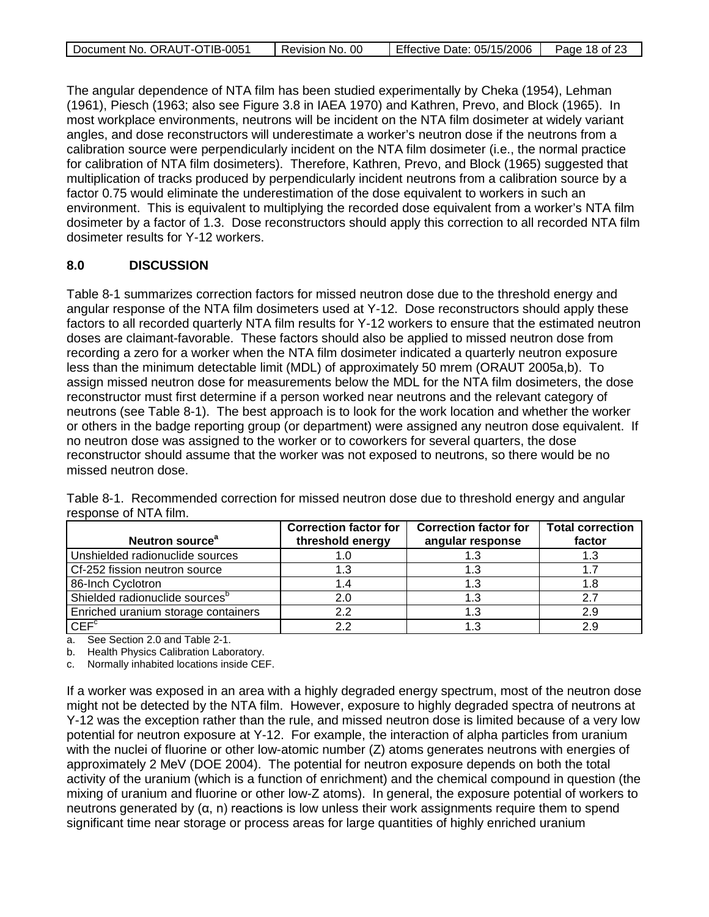| Document No. ORAUT-OTIB-0051 | Revision No. 00 | Effective Date: 05/15/2006 | Page 18 of 23 |
|------------------------------|-----------------|----------------------------|---------------|
|------------------------------|-----------------|----------------------------|---------------|

The angular dependence of NTA film has been studied experimentally by Cheka (1954), Lehman (1961), Piesch (1963; also see Figure 3.8 in IAEA 1970) and Kathren, Prevo, and Block (1965). In most workplace environments, neutrons will be incident on the NTA film dosimeter at widely variant angles, and dose reconstructors will underestimate a worker's neutron dose if the neutrons from a calibration source were perpendicularly incident on the NTA film dosimeter (i.e., the normal practice for calibration of NTA film dosimeters). Therefore, Kathren, Prevo, and Block (1965) suggested that multiplication of tracks produced by perpendicularly incident neutrons from a calibration source by a factor 0.75 would eliminate the underestimation of the dose equivalent to workers in such an environment. This is equivalent to multiplying the recorded dose equivalent from a worker's NTA film dosimeter by a factor of 1.3. Dose reconstructors should apply this correction to all recorded NTA film dosimeter results for Y-12 workers.

## **8.0 DISCUSSION**

Table 8-1 summarizes correction factors for missed neutron dose due to the threshold energy and angular response of the NTA film dosimeters used at Y-12. Dose reconstructors should apply these factors to all recorded quarterly NTA film results for Y-12 workers to ensure that the estimated neutron doses are claimant-favorable. These factors should also be applied to missed neutron dose from recording a zero for a worker when the NTA film dosimeter indicated a quarterly neutron exposure less than the minimum detectable limit (MDL) of approximately 50 mrem (ORAUT 2005a,b). To assign missed neutron dose for measurements below the MDL for the NTA film dosimeters, the dose reconstructor must first determine if a person worked near neutrons and the relevant category of neutrons (see Table 8-1). The best approach is to look for the work location and whether the worker or others in the badge reporting group (or department) were assigned any neutron dose equivalent. If no neutron dose was assigned to the worker or to coworkers for several quarters, the dose reconstructor should assume that the worker was not exposed to neutrons, so there would be no missed neutron dose.

| Neutron source <sup>a</sup>                | <b>Correction factor for</b><br>threshold energy | <b>Correction factor for</b><br>angular response | <b>Total correction</b><br>factor |
|--------------------------------------------|--------------------------------------------------|--------------------------------------------------|-----------------------------------|
| Unshielded radionuclide sources            | 1.0                                              |                                                  | 1.3                               |
| Cf-252 fission neutron source              | 1.3                                              |                                                  | 1.7                               |
| 86-Inch Cyclotron                          | 1.4                                              | 1.3                                              | 1.8                               |
| Shielded radionuclide sources <sup>°</sup> | 2.0                                              |                                                  | 2.7                               |
| Enriched uranium storage containers        | 2.2                                              | 1.3                                              | 2.9                               |
| CEF <sup>c</sup>                           | 2.2                                              |                                                  | 2.9                               |

Table 8-1. Recommended correction for missed neutron dose due to threshold energy and angular response of NTA film.

a. See Section 2.0 and Table 2-1.

b. Health Physics Calibration Laboratory.

c. Normally inhabited locations inside CEF.

If a worker was exposed in an area with a highly degraded energy spectrum, most of the neutron dose might not be detected by the NTA film. However, exposure to highly degraded spectra of neutrons at Y-12 was the exception rather than the rule, and missed neutron dose is limited because of a very low potential for neutron exposure at Y-12. For example, the interaction of alpha particles from uranium with the nuclei of fluorine or other low-atomic number (Z) atoms generates neutrons with energies of approximately 2 MeV (DOE 2004). The potential for neutron exposure depends on both the total activity of the uranium (which is a function of enrichment) and the chemical compound in question (the mixing of uranium and fluorine or other low-Z atoms). In general, the exposure potential of workers to neutrons generated by  $(α, n)$  reactions is low unless their work assignments require them to spend significant time near storage or process areas for large quantities of highly enriched uranium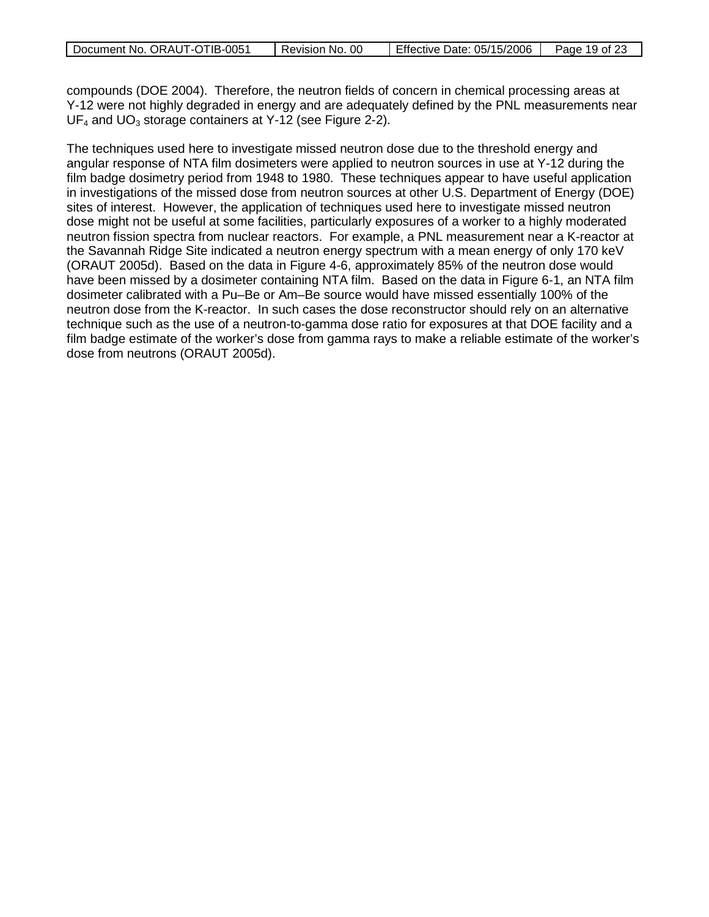compounds (DOE 2004). Therefore, the neutron fields of concern in chemical processing areas at Y-12 were not highly degraded in energy and are adequately defined by the PNL measurements near  $UF<sub>4</sub>$  and UO<sub>3</sub> storage containers at Y-12 (see Figure 2-2).

The techniques used here to investigate missed neutron dose due to the threshold energy and angular response of NTA film dosimeters were applied to neutron sources in use at Y-12 during the film badge dosimetry period from 1948 to 1980. These techniques appear to have useful application in investigations of the missed dose from neutron sources at other U.S. Department of Energy (DOE) sites of interest. However, the application of techniques used here to investigate missed neutron dose might not be useful at some facilities, particularly exposures of a worker to a highly moderated neutron fission spectra from nuclear reactors. For example, a PNL measurement near a K-reactor at the Savannah Ridge Site indicated a neutron energy spectrum with a mean energy of only 170 keV (ORAUT 2005d). Based on the data in Figure 4-6, approximately 85% of the neutron dose would have been missed by a dosimeter containing NTA film. Based on the data in Figure 6-1, an NTA film dosimeter calibrated with a Pu–Be or Am–Be source would have missed essentially 100% of the neutron dose from the K-reactor. In such cases the dose reconstructor should rely on an alternative technique such as the use of a neutron-to-gamma dose ratio for exposures at that DOE facility and a film badge estimate of the worker's dose from gamma rays to make a reliable estimate of the worker's dose from neutrons (ORAUT 2005d).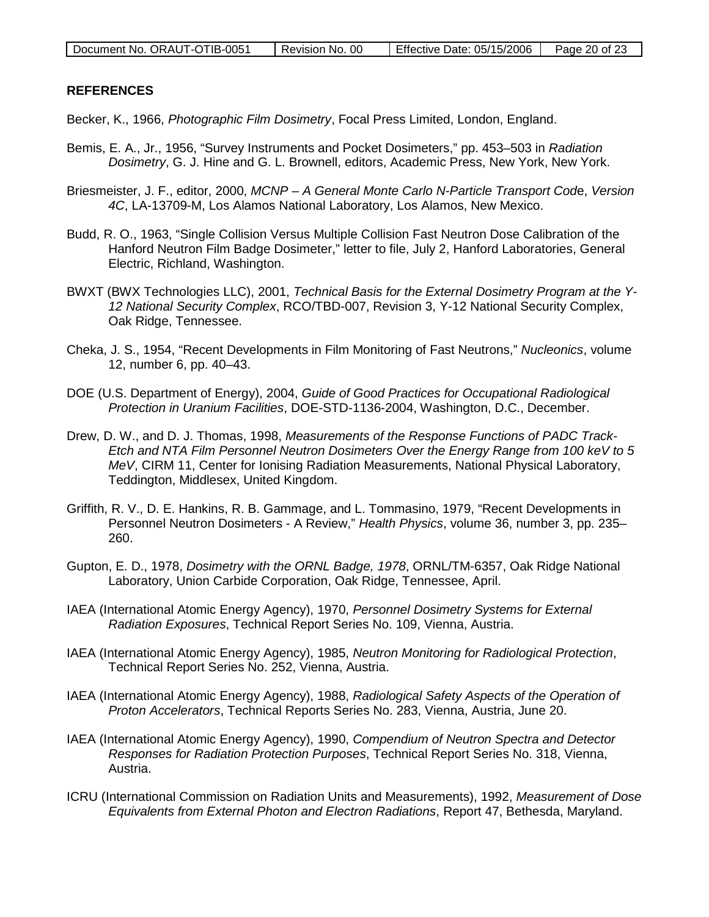| Document No. ORAUT-OTIB-0051 | Revision No. 00 | Effective Date: 05/15/2006 | Page 20 of 23 |
|------------------------------|-----------------|----------------------------|---------------|
|                              |                 |                            |               |

#### **REFERENCES**

- Becker, K., 1966, *Photographic Film Dosimetry*, Focal Press Limited, London, England.
- Bemis, E. A., Jr., 1956, "Survey Instruments and Pocket Dosimeters," pp. 453–503 in *Radiation Dosimetry*, G. J. Hine and G. L. Brownell, editors, Academic Press, New York, New York.
- Briesmeister, J. F., editor, 2000, *MCNP – A General Monte Carlo N-Particle Transport Cod*e, *Version 4C*, LA-13709-M, Los Alamos National Laboratory, Los Alamos, New Mexico.
- Budd, R. O., 1963, "Single Collision Versus Multiple Collision Fast Neutron Dose Calibration of the Hanford Neutron Film Badge Dosimeter," letter to file, July 2, Hanford Laboratories, General Electric, Richland, Washington.
- BWXT (BWX Technologies LLC), 2001, *Technical Basis for the External Dosimetry Program at the Y-12 National Security Complex*, RCO/TBD-007, Revision 3, Y-12 National Security Complex, Oak Ridge, Tennessee.
- Cheka, J. S., 1954, "Recent Developments in Film Monitoring of Fast Neutrons," *Nucleonics*, volume 12, number 6, pp. 40–43.
- DOE (U.S. Department of Energy), 2004, *Guide of Good Practices for Occupational Radiological Protection in Uranium Facilities*, DOE-STD-1136-2004, Washington, D.C., December.
- Drew, D. W., and D. J. Thomas, 1998, *Measurements of the Response Functions of PADC Track-Etch and NTA Film Personnel Neutron Dosimeters Over the Energy Range from 100 keV to 5 MeV*, CIRM 11, Center for Ionising Radiation Measurements, National Physical Laboratory, Teddington, Middlesex, United Kingdom.
- Griffith, R. V., D. E. Hankins, R. B. Gammage, and L. Tommasino, 1979, "Recent Developments in Personnel Neutron Dosimeters - A Review," *Health Physics*, volume 36, number 3, pp. 235– 260.
- Gupton, E. D., 1978, *Dosimetry with the ORNL Badge, 1978*, ORNL/TM-6357, Oak Ridge National Laboratory, Union Carbide Corporation, Oak Ridge, Tennessee, April.
- IAEA (International Atomic Energy Agency), 1970, *Personnel Dosimetry Systems for External Radiation Exposures*, Technical Report Series No. 109, Vienna, Austria.
- IAEA (International Atomic Energy Agency), 1985, *Neutron Monitoring for Radiological Protection*, Technical Report Series No. 252, Vienna, Austria.
- IAEA (International Atomic Energy Agency), 1988, *Radiological Safety Aspects of the Operation of Proton Accelerators*, Technical Reports Series No. 283, Vienna, Austria, June 20.
- IAEA (International Atomic Energy Agency), 1990, *Compendium of Neutron Spectra and Detector Responses for Radiation Protection Purposes*, Technical Report Series No. 318, Vienna, Austria.
- ICRU (International Commission on Radiation Units and Measurements), 1992, *Measurement of Dose Equivalents from External Photon and Electron Radiations*, Report 47, Bethesda, Maryland.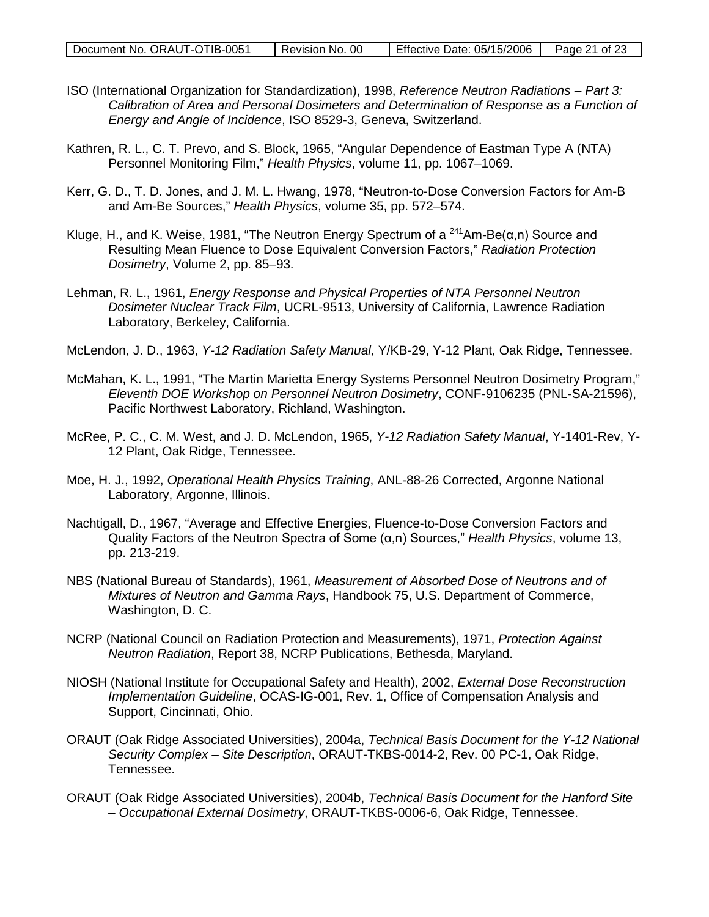| Document No. ORAUT-OTIB-0051 | Revision No. 00 | Effective Date: $05/15/2006$   Page 21 of 23 |  |
|------------------------------|-----------------|----------------------------------------------|--|

- ISO (International Organization for Standardization), 1998, *Reference Neutron Radiations – Part 3: Calibration of Area and Personal Dosimeters and Determination of Response as a Function of Energy and Angle of Incidence*, ISO 8529-3, Geneva, Switzerland.
- Kathren, R. L., C. T. Prevo, and S. Block, 1965, "Angular Dependence of Eastman Type A (NTA) Personnel Monitoring Film," *Health Physics*, volume 11, pp. 1067–1069.
- Kerr, G. D., T. D. Jones, and J. M. L. Hwang, 1978, "Neutron-to-Dose Conversion Factors for Am-B and Am-Be Sources," *Health Physics*, volume 35, pp. 572–574.
- Kluge, H., and K. Weise, 1981, "The Neutron Energy Spectrum of a  $^{241}$ Am-Be( $\alpha$ ,n) Source and Resulting Mean Fluence to Dose Equivalent Conversion Factors," *Radiation Protection Dosimetry*, Volume 2, pp. 85–93.
- Lehman, R. L., 1961, *Energy Response and Physical Properties of NTA Personnel Neutron Dosimeter Nuclear Track Film*, UCRL-9513, University of California, Lawrence Radiation Laboratory, Berkeley, California.
- McLendon, J. D., 1963, *Y-12 Radiation Safety Manual*, Y/KB-29, Y-12 Plant, Oak Ridge, Tennessee.
- McMahan, K. L., 1991, "The Martin Marietta Energy Systems Personnel Neutron Dosimetry Program," *Eleventh DOE Workshop on Personnel Neutron Dosimetry*, CONF-9106235 (PNL-SA-21596), Pacific Northwest Laboratory, Richland, Washington.
- McRee, P. C., C. M. West, and J. D. McLendon, 1965, *Y-12 Radiation Safety Manual*, Y-1401-Rev, Y-12 Plant, Oak Ridge, Tennessee.
- Moe, H. J., 1992, *Operational Health Physics Training*, ANL-88-26 Corrected, Argonne National Laboratory, Argonne, Illinois.
- Nachtigall, D., 1967, "Average and Effective Energies, Fluence-to-Dose Conversion Factors and Quality Factors of the Neutron Spectra of Some (α,n) Sources," *Health Physics*, volume 13, pp. 213-219.
- NBS (National Bureau of Standards), 1961, *Measurement of Absorbed Dose of Neutrons and of Mixtures of Neutron and Gamma Rays*, Handbook 75, U.S. Department of Commerce, Washington, D. C.
- NCRP (National Council on Radiation Protection and Measurements), 1971, *Protection Against Neutron Radiation*, Report 38, NCRP Publications, Bethesda, Maryland.
- NIOSH (National Institute for Occupational Safety and Health), 2002, *External Dose Reconstruction Implementation Guideline*, OCAS-IG-001, Rev. 1, Office of Compensation Analysis and Support, Cincinnati, Ohio.
- ORAUT (Oak Ridge Associated Universities), 2004a, *Technical Basis Document for the Y-12 National Security Complex – Site Description*, ORAUT-TKBS-0014-2, Rev. 00 PC-1, Oak Ridge, Tennessee.
- ORAUT (Oak Ridge Associated Universities), 2004b, *Technical Basis Document for the Hanford Site – Occupational External Dosimetry*, ORAUT-TKBS-0006-6, Oak Ridge, Tennessee.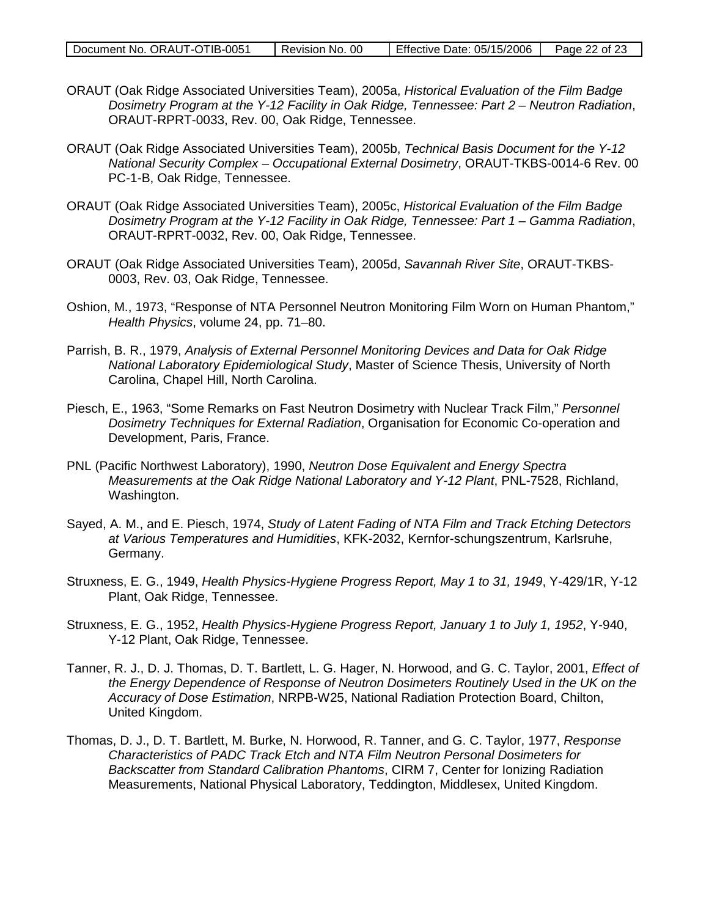| Document No. ORAUT-OTIB-0051 | Revision No. 00 | Effective Date: 05/15/2006 | Page 22 of 23 |
|------------------------------|-----------------|----------------------------|---------------|
|------------------------------|-----------------|----------------------------|---------------|

- ORAUT (Oak Ridge Associated Universities Team), 2005a, *Historical Evaluation of the Film Badge Dosimetry Program at the Y-12 Facility in Oak Ridge, Tennessee: Part 2 – Neutron Radiation*, ORAUT-RPRT-0033, Rev. 00, Oak Ridge, Tennessee.
- ORAUT (Oak Ridge Associated Universities Team), 2005b, *Technical Basis Document for the Y-12 National Security Complex – Occupational External Dosimetry*, ORAUT-TKBS-0014-6 Rev. 00 PC-1-B, Oak Ridge, Tennessee.
- ORAUT (Oak Ridge Associated Universities Team), 2005c, *Historical Evaluation of the Film Badge Dosimetry Program at the Y-12 Facility in Oak Ridge, Tennessee: Part 1 – Gamma Radiation*, ORAUT-RPRT-0032, Rev. 00, Oak Ridge, Tennessee.
- ORAUT (Oak Ridge Associated Universities Team), 2005d, *Savannah River Site*, ORAUT-TKBS-0003, Rev. 03, Oak Ridge, Tennessee.
- Oshion, M., 1973, "Response of NTA Personnel Neutron Monitoring Film Worn on Human Phantom," *Health Physics*, volume 24, pp. 71–80.
- Parrish, B. R., 1979, *Analysis of External Personnel Monitoring Devices and Data for Oak Ridge National Laboratory Epidemiological Study*, Master of Science Thesis, University of North Carolina, Chapel Hill, North Carolina.
- Piesch, E., 1963, "Some Remarks on Fast Neutron Dosimetry with Nuclear Track Film," *Personnel Dosimetry Techniques for External Radiation*, Organisation for Economic Co-operation and Development, Paris, France.
- PNL (Pacific Northwest Laboratory), 1990, *Neutron Dose Equivalent and Energy Spectra Measurements at the Oak Ridge National Laboratory and Y-12 Plant*, PNL-7528, Richland, Washington.
- Sayed, A. M., and E. Piesch, 1974, *Study of Latent Fading of NTA Film and Track Etching Detectors at Various Temperatures and Humidities*, KFK-2032, Kernfor-schungszentrum, Karlsruhe, Germany.
- Struxness, E. G., 1949, *Health Physics-Hygiene Progress Report, May 1 to 31, 1949*, Y-429/1R, Y-12 Plant, Oak Ridge, Tennessee.
- Struxness, E. G., 1952, *Health Physics-Hygiene Progress Report, January 1 to July 1, 1952*, Y-940, Y-12 Plant, Oak Ridge, Tennessee.
- Tanner, R. J., D. J. Thomas, D. T. Bartlett, L. G. Hager, N. Horwood, and G. C. Taylor, 2001, *Effect of the Energy Dependence of Response of Neutron Dosimeters Routinely Used in the UK on the Accuracy of Dose Estimation*, NRPB-W25, National Radiation Protection Board, Chilton, United Kingdom.
- Thomas, D. J., D. T. Bartlett, M. Burke, N. Horwood, R. Tanner, and G. C. Taylor, 1977, *Response Characteristics of PADC Track Etch and NTA Film Neutron Personal Dosimeters for Backscatter from Standard Calibration Phantoms*, CIRM 7, Center for Ionizing Radiation Measurements, National Physical Laboratory, Teddington, Middlesex, United Kingdom.